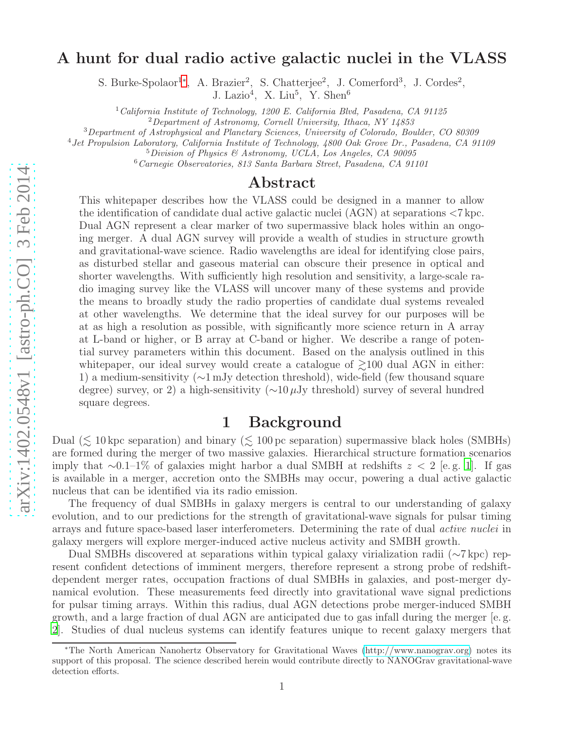## A hunt for dual radio active galactic nuclei in the VLASS

S. Burke-Spolaor<sup>1</sup>\*, A. Brazier<sup>2</sup>, S. Chatterjee<sup>2</sup>, J. Comerford<sup>3</sup>, J. Cordes<sup>2</sup>,

J. Lazio<sup>4</sup>, X. Liu<sup>5</sup>, Y. Shen<sup>6</sup>

 $1$ California Institute of Technology, 1200 E. California Blvd, Pasadena, CA 91125

 ${}^{2}$ Department of Astronomy, Cornell University, Ithaca, NY 14853

<sup>3</sup>Department of Astrophysical and Planetary Sciences, University of Colorado, Boulder, CO 80309

<sup>4</sup>Jet Propulsion Laboratory, California Institute of Technology, 4800 Oak Grove Dr., Pasadena, CA 91109

 $5$ Division of Physics & Astronomy, UCLA, Los Angeles, CA 90095

<sup>6</sup>Carnegie Observatories, 813 Santa Barbara Street, Pasadena, CA 91101

## Abstract

This whitepaper describes how the VLASS could be designed in a manner to allow the identification of candidate dual active galactic nuclei (AGN) at separations <7 kpc. Dual AGN represent a clear marker of two supermassive black holes within an ongoing merger. A dual AGN survey will provide a wealth of studies in structure growth and gravitational-wave science. Radio wavelengths are ideal for identifying close pairs, as disturbed stellar and gaseous material can obscure their presence in optical and shorter wavelengths. With sufficiently high resolution and sensitivity, a large-scale radio imaging survey like the VLASS will uncover many of these systems and provide the means to broadly study the radio properties of candidate dual systems revealed at other wavelengths. We determine that the ideal survey for our purposes will be at as high a resolution as possible, with significantly more science return in A array at L-band or higher, or B array at C-band or higher. We describe a range of potential survey parameters within this document. Based on the analysis outlined in this white paper, our ideal survey would create a catalogue of  $\geq 100$  dual AGN in either: 1) a medium-sensitivity (∼1 mJy detection threshold), wide-field (few thousand square degree) survey, or 2) a high-sensitivity ( $\sim$ 10µJy threshold) survey of several hundred square degrees.

## 1 Background

<span id="page-0-1"></span>Dual ( $\lesssim$  10 kpc separation) and binary ( $\lesssim$  100 pc separation) supermassive black holes (SMBHs) are formed during the merger of two massive galaxies. Hierarchical structure formation scenarios imply that ∼0.1–1% of galaxies might harbor a dual SMBH at redshifts  $z < 2$  [e.g. [1](#page-4-0)]. If gas is available in a merger, accretion onto the SMBHs may occur, powering a dual active galactic nucleus that can be identified via its radio emission.

The frequency of dual SMBHs in galaxy mergers is central to our understanding of galaxy evolution, and to our predictions for the strength of gravitational-wave signals for pulsar timing arrays and future space-based laser interferometers. Determining the rate of dual active nuclei in galaxy mergers will explore merger-induced active nucleus activity and SMBH growth.

Dual SMBHs discovered at separations within typical galaxy virialization radii (∼7 kpc) represent confident detections of imminent mergers, therefore represent a strong probe of redshiftdependent merger rates, occupation fractions of dual SMBHs in galaxies, and post-merger dynamical evolution. These measurements feed directly into gravitational wave signal predictions for pulsar timing arrays. Within this radius, dual AGN detections probe merger-induced SMBH growth, and a large fraction of dual AGN are anticipated due to gas infall during the merger [e. g. [2\]](#page-4-1). Studies of dual nucleus systems can identify features unique to recent galaxy mergers that

<span id="page-0-0"></span><sup>∗</sup>The North American Nanohertz Observatory for Gravitational Waves [\(http://www.nanograv.org\)](http://www.nanograv.org) notes its support of this proposal. The science described herein would contribute directly to NANOGrav gravitational-wave detection efforts.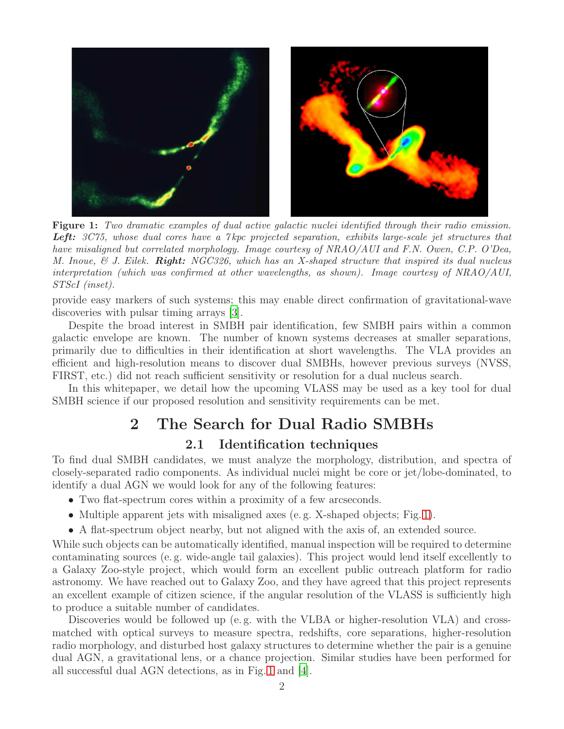<span id="page-1-0"></span>

Figure 1: Two dramatic examples of dual active galactic nuclei identified through their radio emission. Left: 3C75, whose dual cores have a 7 kpc projected separation, exhibits large-scale jet structures that have misaligned but correlated morphology. Image courtesy of NRAO/AUI and F.N. Owen, C.P. O'Dea, M. Inoue, & J. Eilek. **Right:** NGC326, which has an X-shaped structure that inspired its dual nucleus interpretation (which was confirmed at other wavelengths, as shown). Image courtesy of NRAO/AUI, STScI (inset).

provide easy markers of such systems; this may enable direct confirmation of gravitational-wave discoveries with pulsar timing arrays [\[3\]](#page-4-2).

Despite the broad interest in SMBH pair identification, few SMBH pairs within a common galactic envelope are known. The number of known systems decreases at smaller separations, primarily due to difficulties in their identification at short wavelengths. The VLA provides an efficient and high-resolution means to discover dual SMBHs, however previous surveys (NVSS, FIRST, etc.) did not reach sufficient sensitivity or resolution for a dual nucleus search.

In this whitepaper, we detail how the upcoming VLASS may be used as a key tool for dual SMBH science if our proposed resolution and sensitivity requirements can be met.

# 2 The Search for Dual Radio SMBHs

2.1 Identification techniques

To find dual SMBH candidates, we must analyze the morphology, distribution, and spectra of closely-separated radio components. As individual nuclei might be core or jet/lobe-dominated, to identify a dual AGN we would look for any of the following features:

- Two flat-spectrum cores within a proximity of a few arcseconds.
- Multiple apparent jets with misaligned axes (e.g. X-shaped objects; Fig. [1\)](#page-1-0).
- A flat-spectrum object nearby, but not aligned with the axis of, an extended source.

While such objects can be automatically identified, manual inspection will be required to determine contaminating sources (e. g. wide-angle tail galaxies). This project would lend itself excellently to a Galaxy Zoo-style project, which would form an excellent public outreach platform for radio astronomy. We have reached out to Galaxy Zoo, and they have agreed that this project represents an excellent example of citizen science, if the angular resolution of the VLASS is sufficiently high to produce a suitable number of candidates.

Discoveries would be followed up (e. g. with the VLBA or higher-resolution VLA) and crossmatched with optical surveys to measure spectra, redshifts, core separations, higher-resolution radio morphology, and disturbed host galaxy structures to determine whether the pair is a genuine dual AGN, a gravitational lens, or a chance projection. Similar studies have been performed for all successful dual AGN detections, as in Fig. [1](#page-1-0) and [\[4\]](#page-4-3).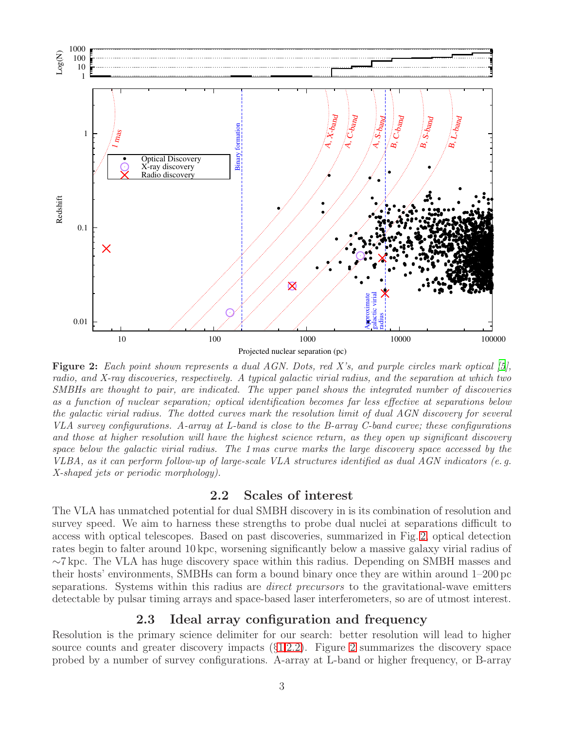<span id="page-2-0"></span>

Figure 2: Each point shown represents a dual AGN. Dots, red X's, and purple circles mark optical [\[5\]](#page-4-4), radio, and X-ray discoveries, respectively. A typical galactic virial radius, and the separation at which two SMBHs are thought to pair, are indicated. The upper panel shows the integrated number of discoveries as a function of nuclear separation; optical identification becomes far less effective at separations below the galactic virial radius. The dotted curves mark the resolution limit of dual AGN discovery for several VLA survey configurations. A-array at L-band is close to the B-array C-band curve; these configurations and those at higher resolution will have the highest science return, as they open up significant discovery space below the galactic virial radius. The 1 mas curve marks the large discovery space accessed by the VLBA, as it can perform follow-up of large-scale VLA structures identified as dual AGN indicators (e. g. X-shaped jets or periodic morphology).

#### 2.2 Scales of interest

<span id="page-2-1"></span>The VLA has unmatched potential for dual SMBH discovery in is its combination of resolution and survey speed. We aim to harness these strengths to probe dual nuclei at separations difficult to access with optical telescopes. Based on past discoveries, summarized in Fig. [2,](#page-2-0) optical detection rates begin to falter around 10 kpc, worsening significantly below a massive galaxy virial radius of ∼7 kpc. The VLA has huge discovery space within this radius. Depending on SMBH masses and their hosts' environments, SMBHs can form a bound binary once they are within around 1–200 pc separations. Systems within this radius are *direct precursors* to the gravitational-wave emitters detectable by pulsar timing arrays and space-based laser interferometers, so are of utmost interest.

#### 2.3 Ideal array configuration and frequency

Resolution is the primary science delimiter for our search: better resolution will lead to higher source counts and greater discovery impacts (§[1](#page-0-1)[,2.2\)](#page-2-1). Figure [2](#page-2-0) summarizes the discovery space probed by a number of survey configurations. A-array at L-band or higher frequency, or B-array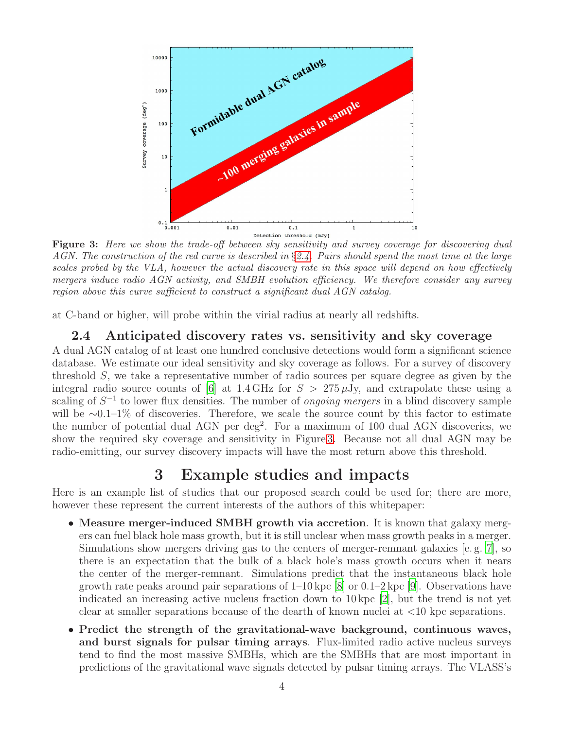<span id="page-3-1"></span>

Figure 3: Here we show the trade-off between sky sensitivity and survey coverage for discovering dual AGN. The construction of the red curve is described in §[2.4.](#page-3-0) Pairs should spend the most time at the large scales probed by the VLA, however the actual discovery rate in this space will depend on how effectively mergers induce radio AGN activity, and SMBH evolution efficiency. We therefore consider any survey region above this curve sufficient to construct a significant dual AGN catalog.

<span id="page-3-0"></span>at C-band or higher, will probe within the virial radius at nearly all redshifts.

### 2.4 Anticipated discovery rates vs. sensitivity and sky coverage

A dual AGN catalog of at least one hundred conclusive detections would form a significant science database. We estimate our ideal sensitivity and sky coverage as follows. For a survey of discovery threshold S, we take a representative number of radio sources per square degree as given by the integral radio source counts of [\[6](#page-4-5)] at 1.4 GHz for  $S > 275 \,\mu$ Jy, and extrapolate these using a scaling of  $S^{-1}$  to lower flux densities. The number of *ongoing mergers* in a blind discovery sample will be ∼0.1–1% of discoveries. Therefore, we scale the source count by this factor to estimate the number of potential dual AGN per deg<sup>2</sup>. For a maximum of 100 dual AGN discoveries, we show the required sky coverage and sensitivity in Figure [3.](#page-3-1) Because not all dual AGN may be radio-emitting, our survey discovery impacts will have the most return above this threshold.

# 3 Example studies and impacts

Here is an example list of studies that our proposed search could be used for; there are more, however these represent the current interests of the authors of this whitepaper:

- Measure merger-induced SMBH growth via accretion. It is known that galaxy mergers can fuel black hole mass growth, but it is still unclear when mass growth peaks in a merger. Simulations show mergers driving gas to the centers of merger-remnant galaxies [e. g. [7](#page-4-6)], so there is an expectation that the bulk of a black hole's mass growth occurs when it nears the center of the merger-remnant. Simulations predict that the instantaneous black hole growth rate peaks around pair separations of 1–10 kpc [\[8\]](#page-4-7) or 0.1–2 kpc [\[9](#page-4-8)]. Observations have indicated an increasing active nucleus fraction down to 10 kpc [\[2\]](#page-4-1), but the trend is not yet clear at smaller separations because of the dearth of known nuclei at <10 kpc separations.
- Predict the strength of the gravitational-wave background, continuous waves, and burst signals for pulsar timing arrays. Flux-limited radio active nucleus surveys tend to find the most massive SMBHs, which are the SMBHs that are most important in predictions of the gravitational wave signals detected by pulsar timing arrays. The VLASS's